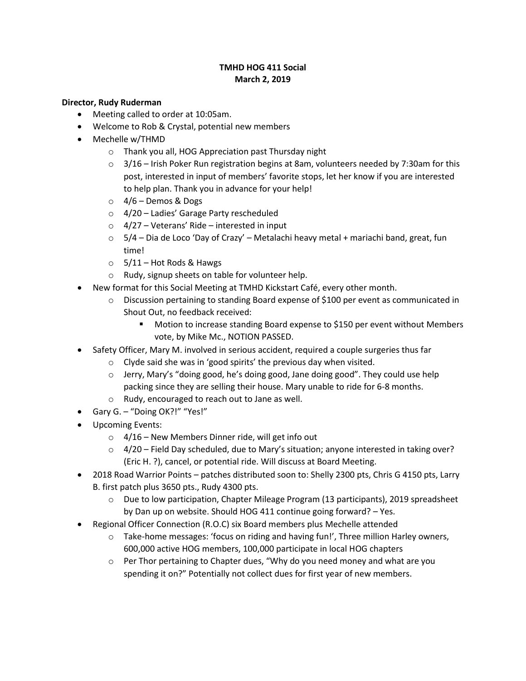## **TMHD HOG 411 Social March 2, 2019**

## **Director, Rudy Ruderman**

- Meeting called to order at 10:05am.
- Welcome to Rob & Crystal, potential new members
- Mechelle w/THMD
	- o Thank you all, HOG Appreciation past Thursday night
	- $\circ$  3/16 Irish Poker Run registration begins at 8am, volunteers needed by 7:30am for this post, interested in input of members' favorite stops, let her know if you are interested to help plan. Thank you in advance for your help!
	- $\circ$  4/6 Demos & Dogs
	- o 4/20 Ladies' Garage Party rescheduled
	- $\circ$  4/27 Veterans' Ride interested in input
	- $\circ$  5/4 Dia de Loco 'Day of Crazy' Metalachi heavy metal + mariachi band, great, fun time!
	- $\circ$  5/11 Hot Rods & Hawgs
	- o Rudy, signup sheets on table for volunteer help.
- New format for this Social Meeting at TMHD Kickstart Café, every other month.
	- o Discussion pertaining to standing Board expense of \$100 per event as communicated in Shout Out, no feedback received:
		- **Motion to increase standing Board expense to \$150 per event without Members** vote, by Mike Mc., NOTION PASSED.
- Safety Officer, Mary M. involved in serious accident, required a couple surgeries thus far
	- o Clyde said she was in 'good spirits' the previous day when visited.
	- $\circ$  Jerry, Mary's "doing good, he's doing good, Jane doing good". They could use help packing since they are selling their house. Mary unable to ride for 6-8 months.
	- o Rudy, encouraged to reach out to Jane as well.
- Gary G. "Doing OK?!" "Yes!"
- Upcoming Events:
	- $\circ$  4/16 New Members Dinner ride, will get info out
	- $\circ$  4/20 Field Day scheduled, due to Mary's situation; anyone interested in taking over? (Eric H. ?), cancel, or potential ride. Will discuss at Board Meeting.
- 2018 Road Warrior Points patches distributed soon to: Shelly 2300 pts, Chris G 4150 pts, Larry B. first patch plus 3650 pts., Rudy 4300 pts.
	- o Due to low participation, Chapter Mileage Program (13 participants), 2019 spreadsheet by Dan up on website. Should HOG 411 continue going forward? – Yes.
- Regional Officer Connection (R.O.C) six Board members plus Mechelle attended
	- $\circ$  Take-home messages: 'focus on riding and having fun!', Three million Harley owners, 600,000 active HOG members, 100,000 participate in local HOG chapters
	- $\circ$  Per Thor pertaining to Chapter dues, "Why do you need money and what are you spending it on?" Potentially not collect dues for first year of new members.